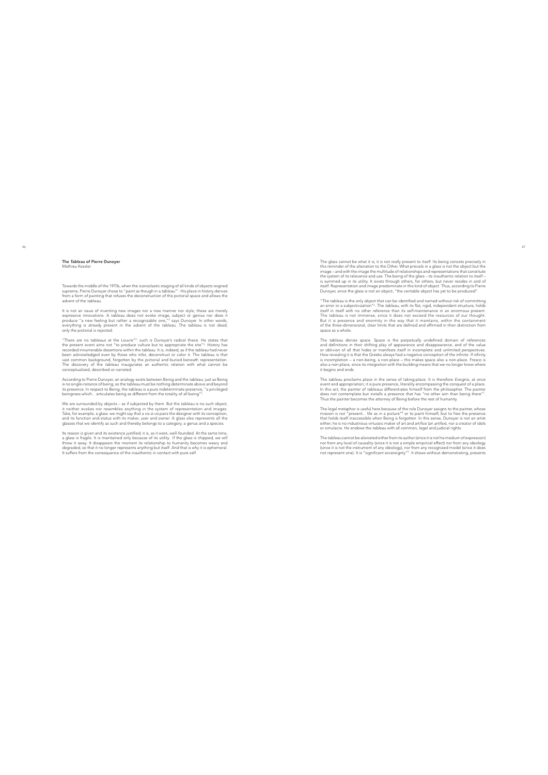## The *Tableau* of Pierre Dunoyer Mathieu Kessler

Towards the middle of the 1970s, when the iconoclastic staging of all kinds of objects reigned<br>supreme, Pierre Dunoyer chose to "paint as though in a tableau"!. His place in history derives<br>from a form of painting that ref

It is not an issue of inventing new images nor a new manner nor style; these are merely expressive innovations. A tableau does not evoke image, subject or genuis nor does it produce "a new feeling but rather a recognizabl

"There are no tableaux at the Louver": such is Dunoyer's radical thesis. He states that the present event aims not "to produce culture but to appropriate the site". History has recorded innumerable desertions within the ta

According to Pierre Dunoyer, an analogy exists between Being and the tableau: just as Being<br>is no single instance of being, so the tableau must be nothing determinate above and beyond<br>its presence. In respect to Being, the

We are surrounded by objects – as if subjected by them. But the tableau is no such object;<br>it neither evokes nor resembles anything in the system of representation and images.<br>Take, for example, a glass: we might say that

tts reason is given and its existence justified; it is, as it were, well-founded. At the same time, and its maintained only because of its utility. If the glass is chipped, we will thow it away. It disappears the moment it

The glass cannot be what it is; it is not really present to itself. Its being consists precisely in this reminder of the alienation to the Other. What prevails in a glass is not the object but the image – and with the ima

"The tableau is the only object that can be identified and named without risk of committing<br>an error or a subjectivization"<sup>4</sup>. The tableau, with its flat, rigid, independent structure, holds<br>itself in itself with no other

The tableau denies space. Space is the perpetually undefined domain of references<br>and definitions in their shifting play of appearance and disappearance; and of the value<br>or oblivion of all that hides or manifests itself i also a non-place, since its integration with the building means that we no longer know where it begins and ends.

The tableau proclaims place in the sense of taking-place. It is therefore Ereignis, at once<br>event and appropriation; it is pure presence, literality encompassing the conquest of a place.<br>In this act, the painter of tableau

The legal metaphor is useful here because of the role Dunoyer assigns to the painter, whose mission is not "present.. life as in a picture"<sup>6</sup> or to paint himself, but to free the presence that holds itself inaccessible w

The tableau cannot be alienated either from its author (since it is not his medium of expression)<br>nor from any level of causality (since it is not a simple empirical effect) nor from any ideology<br>(since it is not the instr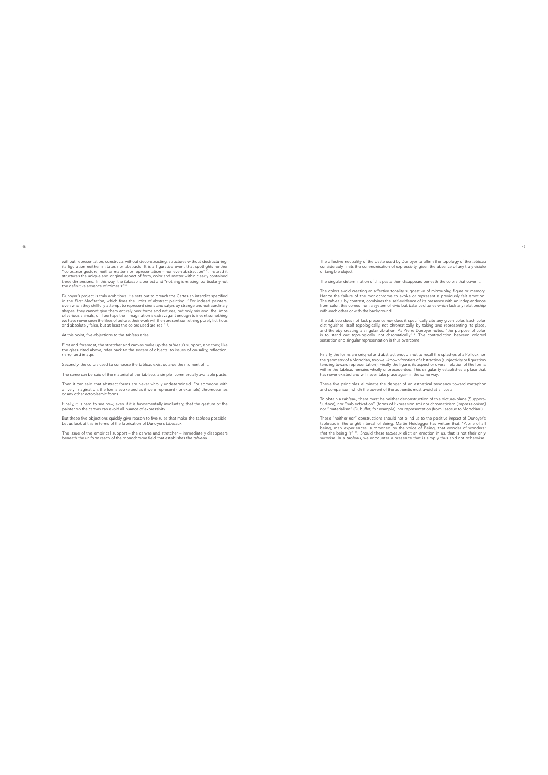without representation, constructs without deconstructing, structures without destructuring;<br>its figuration entitler imitates nor abstracts. It is a figurative event that spotlights neither<br>"color...nor gesture, neither ma

Dunoyer's project is truly ambitions. He sets out to breach the Cartesian interdict specified to in the First Meditation, which fixes the limits of abstract painting: "For indeed painters, even when they skillfully attemp

## At this point, five objections to the *tableau* arise.

First and foremost, the stretcher and canvas make up the *tableau*'s support, and they, like the glass cited above, refer back to the system of objects: to issues of causality, reflection, mirror and image.

Secondly, the colors used to compose the *tableau* exist outside the moment of it.

The same can be said of the material of the *tableau*: a simple, commercially available paste.

Then it can said that abstract forms are never wholly undetermined. For someone with<br>a lively imagination, the forms evoke and as it were represent (for example) chromosomes<br>or any other ectoplasmic forms.

Finally, it is hard to see how, even if it is fundamentally involuntary, that the gesture of the painter on the canvas can avoid all nuance of expressivity.

But these five objections quickly give reason to five rules that make the *tableau* possible. Let us look at this in terms of the fabrication of Dunoyer's *tableaux* .

The issue of the empirical support – the canvas and stretcher – immediately disappears beneath the uniform reach of the monochrome field that establishes the *tableau* .

The affective neutrality of the paste used by Dunoyer to affirm the topology of the *tableau*  considerably limits the communication of expressivity, given the absence of any truly visible or tangible object.

The singular determination of this paste then disappears beneath the colors that cover it.

The colors avoid creating an affective tonality suggestive of mirror-play, figure or memory,<br>Hence the failure of the monochrome to evoke or represent a previously felt emotion.<br>The tableau, by contrast, combines the self-

The tableau does not lack presence nor does it specifically cite any given color. Each color<br>distinguishes itself topologically, not chromatically, by taking and representing its place,<br>and thereby creating a singular vibr

Finally, the forms are original and abstract enough not to recall the splashes of a Pollock nor<br>the geometry of a Mondrian, two well-known frontiers of abstraction (subjectivity or figuration<br>tending toward representation)

These five principles eliminate the danger of an esthetical tendency toward metaphor and comparison, which the advent of the authentic must avoid at all costs.

To obtain a tableau, there must be neither deconstruction of the picture-plane (Support-<br>Surface), nor "subjectivation" (forms of Expressionism) nor chromaticism (Impressionism)<br>nor "materialism" (Dubuffet, for example), n

These "neither nor" constructions should not blind us to the positive impact of Dunoyer's<br>tableaux in the bright interval of Being, Martin Heidegger has written that: "Alone of all<br>being, man experiences, summoned by the v